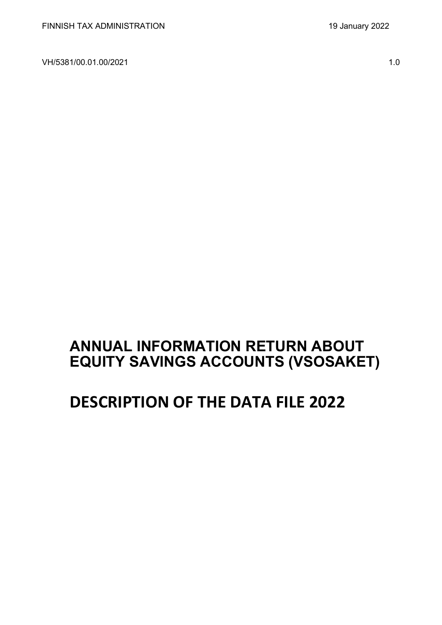VH/5381/00.01.00/2021 1.0

# **ANNUAL INFORMATION RETURN ABOUT EQUITY SAVINGS ACCOUNTS (VSOSAKET)**

# **DESCRIPTION OF THE DATA FILE 2022**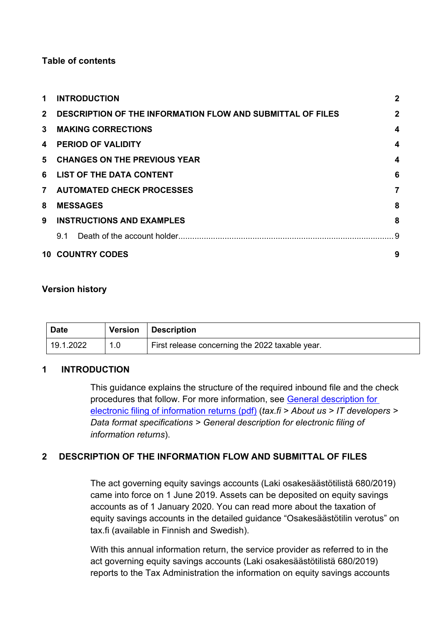#### **Table of contents**

| 1            | <b>INTRODUCTION</b>                                               | $\boldsymbol{2}$        |
|--------------|-------------------------------------------------------------------|-------------------------|
| $2^{\circ}$  | <b>DESCRIPTION OF THE INFORMATION FLOW AND SUBMITTAL OF FILES</b> | $\mathbf{2}$            |
| $\mathbf{3}$ | <b>MAKING CORRECTIONS</b>                                         | 4                       |
| 4            | <b>PERIOD OF VALIDITY</b>                                         | $\boldsymbol{4}$        |
|              | 5 CHANGES ON THE PREVIOUS YEAR                                    | $\overline{\mathbf{4}}$ |
|              | 6 LIST OF THE DATA CONTENT                                        | 6                       |
|              | 7 AUTOMATED CHECK PROCESSES                                       | 7                       |
| 8            | <b>MESSAGES</b>                                                   | 8                       |
| 9            | <b>INSTRUCTIONS AND EXAMPLES</b>                                  | 8                       |
|              | 9.1                                                               |                         |
|              | <b>10 COUNTRY CODES</b>                                           | 9                       |

#### **Version history**

| <b>Date</b> | <b>Version</b>   | Description                                     |
|-------------|------------------|-------------------------------------------------|
| 19.1.2022   | 1.0 <sub>1</sub> | First release concerning the 2022 taxable year. |

#### <span id="page-1-0"></span>**1 INTRODUCTION**

This guidance explains the structure of the required inbound file and the check procedures that follow. For more information, see [General description for](https://www.vero.fi/globalassets/tietoa-verohallinnosta/ohjelmistokehittajille/finnish-tax-administration_electronic-filing-of-information-returns-general-description.pdf)  [electronic filing of information returns \(pdf\)](https://www.vero.fi/globalassets/tietoa-verohallinnosta/ohjelmistokehittajille/finnish-tax-administration_electronic-filing-of-information-returns-general-description.pdf) (*tax.fi > About us > IT developers > Data format specifications > General description for electronic filing of information returns*).

### <span id="page-1-1"></span>**2 DESCRIPTION OF THE INFORMATION FLOW AND SUBMITTAL OF FILES**

The act governing equity savings accounts (Laki osakesäästötilistä 680/2019) came into force on 1 June 2019. Assets can be deposited on equity savings accounts as of 1 January 2020. You can read more about the taxation of equity savings accounts in the detailed guidance "Osakesäästötilin verotus" on tax.fi (available in Finnish and Swedish).

With this annual information return, the service provider as referred to in the act governing equity savings accounts (Laki osakesäästötilistä 680/2019) reports to the Tax Administration the information on equity savings accounts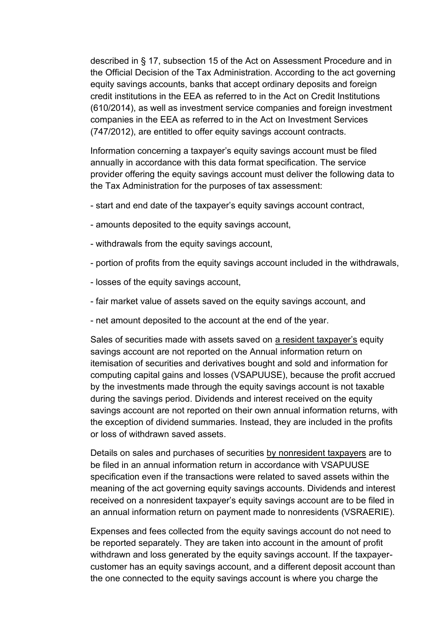described in § 17, subsection 15 of the Act on Assessment Procedure and in the Official Decision of the Tax Administration. According to the act governing equity savings accounts, banks that accept ordinary deposits and foreign credit institutions in the EEA as referred to in the Act on Credit Institutions (610/2014), as well as investment service companies and foreign investment companies in the EEA as referred to in the Act on Investment Services (747/2012), are entitled to offer equity savings account contracts.

Information concerning a taxpayer's equity savings account must be filed annually in accordance with this data format specification. The service provider offering the equity savings account must deliver the following data to the Tax Administration for the purposes of tax assessment:

- start and end date of the taxpayer's equity savings account contract,
- amounts deposited to the equity savings account,
- withdrawals from the equity savings account,
- portion of profits from the equity savings account included in the withdrawals,
- losses of the equity savings account,
- fair market value of assets saved on the equity savings account, and
- net amount deposited to the account at the end of the year.

Sales of securities made with assets saved on a resident taxpayer's equity savings account are not reported on the Annual information return on itemisation of securities and derivatives bought and sold and information for computing capital gains and losses (VSAPUUSE), because the profit accrued by the investments made through the equity savings account is not taxable during the savings period. Dividends and interest received on the equity savings account are not reported on their own annual information returns, with the exception of dividend summaries. Instead, they are included in the profits or loss of withdrawn saved assets.

Details on sales and purchases of securities by nonresident taxpayers are to be filed in an annual information return in accordance with VSAPUUSE specification even if the transactions were related to saved assets within the meaning of the act governing equity savings accounts. Dividends and interest received on a nonresident taxpayer's equity savings account are to be filed in an annual information return on payment made to nonresidents (VSRAERIE).

Expenses and fees collected from the equity savings account do not need to be reported separately. They are taken into account in the amount of profit withdrawn and loss generated by the equity savings account. If the taxpayercustomer has an equity savings account, and a different deposit account than the one connected to the equity savings account is where you charge the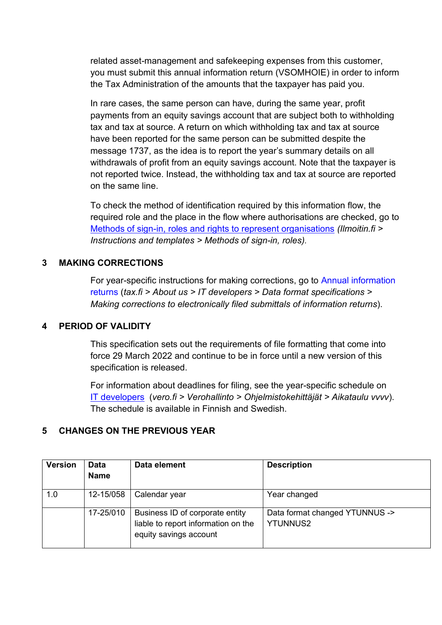related asset-management and safekeeping expenses from this customer, you must submit this annual information return (VSOMHOIE) in order to inform the Tax Administration of the amounts that the taxpayer has paid you.

In rare cases, the same person can have, during the same year, profit payments from an equity savings account that are subject both to withholding tax and tax at source. A return on which withholding tax and tax at source have been reported for the same person can be submitted despite the message 1737, as the idea is to report the year's summary details on all withdrawals of profit from an equity savings account. Note that the taxpayer is not reported twice. Instead, the withholding tax and tax at source are reported on the same line.

To check the method of identification required by this information flow, the required role and the place in the flow where authorisations are checked, go to [Methods of sign-in, roles and rights to represent organisations](https://www.ilmoitin.fi/webtamo/sivut/IlmoituslajiRoolit?kieli=en&tv=VSOSAKET) *[\(Ilmoitin.fi >](https://www.ilmoitin.fi/webtamo/sivut/IlmoituslajiRoolit?kieli=en)  [Instructions and templates > Methods of sign-in, roles\)](https://www.ilmoitin.fi/webtamo/sivut/IlmoituslajiRoolit?kieli=en).*

#### <span id="page-3-0"></span>**3 MAKING CORRECTIONS**

For year-specific instructions for making corrections, go to [Annual information](https://www.vero.fi/en/About-us/it_developer/data-format-specifications/annual_information_returns__instruction/)  [returns](https://www.vero.fi/en/About-us/it_developer/data-format-specifications/annual_information_returns__instruction/) (*tax.fi > About us > IT developers > Data format specifications > Making corrections to electronically filed submittals of information returns*).

#### <span id="page-3-1"></span>**4 PERIOD OF VALIDITY**

This specification sets out the requirements of file formatting that come into force 29 March 2022 and continue to be in force until a new version of this specification is released.

For information about deadlines for filing, see the year-specific schedule on [IT developers](https://www.vero.fi/tietoa-verohallinnosta/kehittaja/) (*vero.fi > Verohallinto > Ohjelmistokehittäjät > Aikataulu vvvv*). The schedule is available in Finnish and Swedish.

#### <span id="page-3-2"></span>**5 CHANGES ON THE PREVIOUS YEAR**

| <b>Version</b> | <b>Data</b><br><b>Name</b> | Data element                                                                                     | <b>Description</b>                                |
|----------------|----------------------------|--------------------------------------------------------------------------------------------------|---------------------------------------------------|
| 1.0            | 12-15/058                  | Calendar year                                                                                    | Year changed                                      |
|                | 17-25/010                  | Business ID of corporate entity<br>liable to report information on the<br>equity savings account | Data format changed YTUNNUS -><br><b>YTUNNUS2</b> |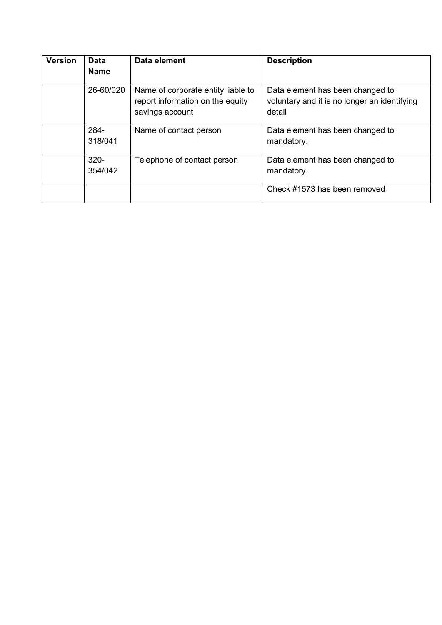| <b>Version</b> | <b>Data</b><br><b>Name</b> | Data element                                                                              | <b>Description</b>                                                                         |
|----------------|----------------------------|-------------------------------------------------------------------------------------------|--------------------------------------------------------------------------------------------|
|                | 26-60/020                  | Name of corporate entity liable to<br>report information on the equity<br>savings account | Data element has been changed to<br>voluntary and it is no longer an identifying<br>detail |
|                | 284-<br>318/041            | Name of contact person                                                                    | Data element has been changed to<br>mandatory.                                             |
|                | $320 -$<br>354/042         | Telephone of contact person                                                               | Data element has been changed to<br>mandatory.                                             |
|                |                            |                                                                                           | Check #1573 has been removed                                                               |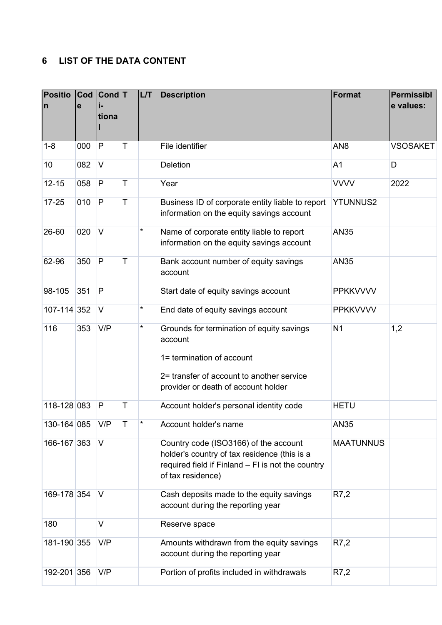## <span id="page-5-0"></span>**6 LIST OF THE DATA CONTENT**

| <b>Positio</b><br>$\mathsf{n}$ | Cod<br>e | $ Cond $ T<br>tiona |   | L/T | <b>Description</b>                                                                                                                                                    | Format           | <b>Permissibl</b><br>e values: |
|--------------------------------|----------|---------------------|---|-----|-----------------------------------------------------------------------------------------------------------------------------------------------------------------------|------------------|--------------------------------|
| $1 - 8$                        | 000      | P                   | T |     | File identifier                                                                                                                                                       | AN <sub>8</sub>  | <b>VSOSAKET</b>                |
| 10                             | 082      | $\vee$              |   |     | <b>Deletion</b>                                                                                                                                                       | A <sub>1</sub>   | D                              |
| $12 - 15$                      | 058      | P                   | T |     | Year                                                                                                                                                                  | <b>VVVV</b>      | 2022                           |
| $17 - 25$                      | 010      | P                   | T |     | Business ID of corporate entity liable to report<br>information on the equity savings account                                                                         | <b>YTUNNUS2</b>  |                                |
| 26-60                          | 020      | $\vee$              |   | *   | Name of corporate entity liable to report<br>information on the equity savings account                                                                                | <b>AN35</b>      |                                |
| 62-96                          | 350      | P                   | T |     | Bank account number of equity savings<br>account                                                                                                                      | <b>AN35</b>      |                                |
| 98-105                         | 351      | P                   |   |     | Start date of equity savings account                                                                                                                                  | <b>PPKKVVVV</b>  |                                |
| 107-114 352                    |          | $\vee$              |   | *   | End date of equity savings account                                                                                                                                    | <b>PPKKVVVV</b>  |                                |
| 116                            | 353      | V/P                 |   | *   | Grounds for termination of equity savings<br>account<br>1= termination of account<br>2= transfer of account to another service<br>provider or death of account holder | N <sub>1</sub>   | 1,2                            |
| 118-128 083                    |          | P                   | Τ |     | Account holder's personal identity code                                                                                                                               | <b>HETU</b>      |                                |
| 130-164 085                    |          | V/P                 | т | *   | Account holder's name                                                                                                                                                 | AN35             |                                |
| 166-167 363                    |          | V                   |   |     | Country code (ISO3166) of the account<br>holder's country of tax residence (this is a<br>required field if Finland - FI is not the country<br>of tax residence)       | <b>MAATUNNUS</b> |                                |
| 169-178 354                    |          | V                   |   |     | Cash deposits made to the equity savings<br>account during the reporting year                                                                                         | R7,2             |                                |
| 180                            |          | $\vee$              |   |     | Reserve space                                                                                                                                                         |                  |                                |
| 181-190 355                    |          | V/P                 |   |     | Amounts withdrawn from the equity savings<br>account during the reporting year                                                                                        | R7,2             |                                |
| 192-201 356                    |          | V/P                 |   |     | Portion of profits included in withdrawals                                                                                                                            | R7,2             |                                |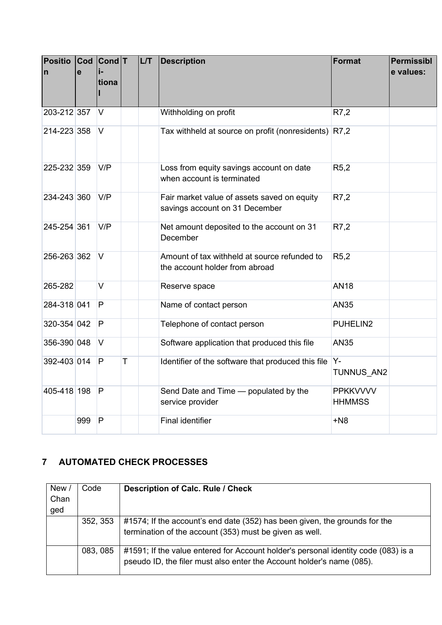| <b>Positio</b><br>$\mathsf{n}$ | $\mathbf{e}$ | Cod Cond T<br>tiona |   | <b>L/T</b> | <b>Description</b>                                                             | Format                           | <b>Permissibl</b><br>e values: |
|--------------------------------|--------------|---------------------|---|------------|--------------------------------------------------------------------------------|----------------------------------|--------------------------------|
| 203-212 357                    |              | V                   |   |            | Withholding on profit                                                          | R7,2                             |                                |
| 214-223 358                    |              | $\vee$              |   |            | Tax withheld at source on profit (nonresidents)                                | R7,2                             |                                |
| 225-232 359                    |              | V/P                 |   |            | Loss from equity savings account on date<br>when account is terminated         | R5,2                             |                                |
| 234-243 360                    |              | V/P                 |   |            | Fair market value of assets saved on equity<br>savings account on 31 December  | R7,2                             |                                |
| 245-254 361                    |              | V/P                 |   |            | Net amount deposited to the account on 31<br>December                          | R7,2                             |                                |
| 256-263 362                    |              | V                   |   |            | Amount of tax withheld at source refunded to<br>the account holder from abroad | R5,2                             |                                |
| 265-282                        |              | $\vee$              |   |            | Reserve space                                                                  | <b>AN18</b>                      |                                |
| 284-318 041                    |              | P                   |   |            | Name of contact person                                                         | <b>AN35</b>                      |                                |
| 320-354 042                    |              | P                   |   |            | Telephone of contact person                                                    | PUHELIN2                         |                                |
| 356-390 048                    |              | $\vee$              |   |            | Software application that produced this file                                   | <b>AN35</b>                      |                                |
| 392-403 014                    |              | P                   | T |            | Identifier of the software that produced this file                             | $Y -$<br>TUNNUS AN2              |                                |
| 405-418 198                    |              | P                   |   |            | Send Date and Time - populated by the<br>service provider                      | <b>PPKKVVVV</b><br><b>HHMMSS</b> |                                |
|                                | 999          | P                   |   |            | <b>Final identifier</b>                                                        | $+N8$                            |                                |

## <span id="page-6-0"></span>**7 AUTOMATED CHECK PROCESSES**

| New /<br>Chan<br>ged | Code     | <b>Description of Calc. Rule / Check</b>                                                                                                                    |
|----------------------|----------|-------------------------------------------------------------------------------------------------------------------------------------------------------------|
|                      | 352, 353 | #1574; If the account's end date (352) has been given, the grounds for the<br>termination of the account (353) must be given as well.                       |
|                      | 083, 085 | #1591; If the value entered for Account holder's personal identity code (083) is a<br>pseudo ID, the filer must also enter the Account holder's name (085). |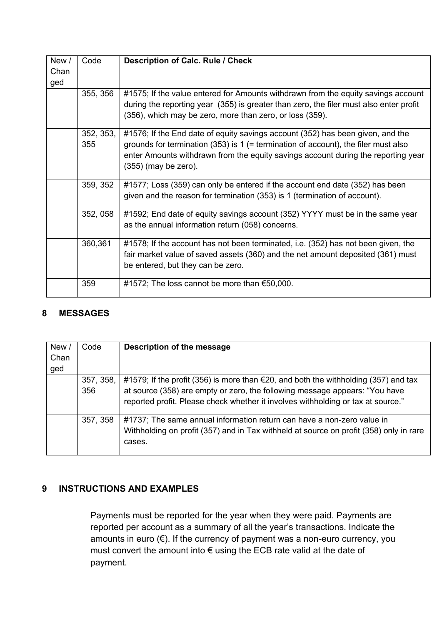| New/<br>Chan<br>ged | Code             | <b>Description of Calc. Rule / Check</b>                                                                                                                                                                                                                                              |
|---------------------|------------------|---------------------------------------------------------------------------------------------------------------------------------------------------------------------------------------------------------------------------------------------------------------------------------------|
|                     | 355, 356         | #1575; If the value entered for Amounts withdrawn from the equity savings account<br>during the reporting year (355) is greater than zero, the filer must also enter profit<br>(356), which may be zero, more than zero, or loss (359).                                               |
|                     | 352, 353,<br>355 | #1576; If the End date of equity savings account (352) has been given, and the<br>grounds for termination $(353)$ is 1 (= termination of account), the filer must also<br>enter Amounts withdrawn from the equity savings account during the reporting year<br>$(355)$ (may be zero). |
|                     | 359, 352         | #1577; Loss (359) can only be entered if the account end date (352) has been<br>given and the reason for termination (353) is 1 (termination of account).                                                                                                                             |
|                     | 352, 058         | #1592; End date of equity savings account (352) YYYY must be in the same year<br>as the annual information return (058) concerns.                                                                                                                                                     |
|                     | 360,361          | #1578; If the account has not been terminated, i.e. (352) has not been given, the<br>fair market value of saved assets (360) and the net amount deposited (361) must<br>be entered, but they can be zero.                                                                             |
|                     | 359              | #1572; The loss cannot be more than €50,000.                                                                                                                                                                                                                                          |

#### <span id="page-7-0"></span>**8 MESSAGES**

| New /<br>Chan<br>ged | Code             | Description of the message                                                                                                                                                                                                                                       |
|----------------------|------------------|------------------------------------------------------------------------------------------------------------------------------------------------------------------------------------------------------------------------------------------------------------------|
|                      | 357, 358,<br>356 | #1579; If the profit (356) is more than $\epsilon$ 20, and both the withholding (357) and tax<br>at source (358) are empty or zero, the following message appears: "You have<br>reported profit. Please check whether it involves withholding or tax at source." |
|                      | 357, 358         | #1737; The same annual information return can have a non-zero value in<br>Withholding on profit (357) and in Tax withheld at source on profit (358) only in rare<br>cases.                                                                                       |

#### <span id="page-7-1"></span>**9 INSTRUCTIONS AND EXAMPLES**

Payments must be reported for the year when they were paid. Payments are reported per account as a summary of all the year's transactions. Indicate the amounts in euro (€). If the currency of payment was a non-euro currency, you must convert the amount into € using the ECB rate valid at the date of payment.